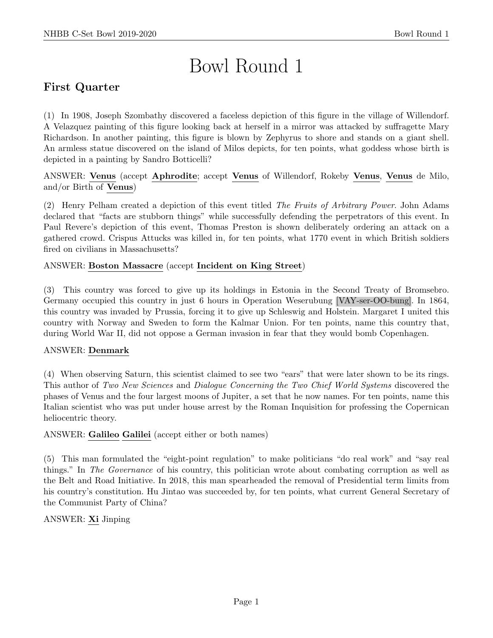# Bowl Round 1

# First Quarter

(1) In 1908, Joseph Szombathy discovered a faceless depiction of this figure in the village of Willendorf. A Velazquez painting of this figure looking back at herself in a mirror was attacked by suffragette Mary Richardson. In another painting, this figure is blown by Zephyrus to shore and stands on a giant shell. An armless statue discovered on the island of Milos depicts, for ten points, what goddess whose birth is depicted in a painting by Sandro Botticelli?

ANSWER: Venus (accept Aphrodite; accept Venus of Willendorf, Rokeby Venus, Venus de Milo, and/or Birth of Venus)

(2) Henry Pelham created a depiction of this event titled The Fruits of Arbitrary Power. John Adams declared that "facts are stubborn things" while successfully defending the perpetrators of this event. In Paul Revere's depiction of this event, Thomas Preston is shown deliberately ordering an attack on a gathered crowd. Crispus Attucks was killed in, for ten points, what 1770 event in which British soldiers fired on civilians in Massachusetts?

#### ANSWER: Boston Massacre (accept Incident on King Street)

(3) This country was forced to give up its holdings in Estonia in the Second Treaty of Bromsebro. Germany occupied this country in just 6 hours in Operation Weserubung [VAY-ser-OO-bung]. In 1864, this country was invaded by Prussia, forcing it to give up Schleswig and Holstein. Margaret I united this country with Norway and Sweden to form the Kalmar Union. For ten points, name this country that, during World War II, did not oppose a German invasion in fear that they would bomb Copenhagen.

#### ANSWER: Denmark

(4) When observing Saturn, this scientist claimed to see two "ears" that were later shown to be its rings. This author of Two New Sciences and Dialogue Concerning the Two Chief World Systems discovered the phases of Venus and the four largest moons of Jupiter, a set that he now names. For ten points, name this Italian scientist who was put under house arrest by the Roman Inquisition for professing the Copernican heliocentric theory.

#### ANSWER: Galileo Galilei (accept either or both names)

(5) This man formulated the "eight-point regulation" to make politicians "do real work" and "say real things." In The Governance of his country, this politician wrote about combating corruption as well as the Belt and Road Initiative. In 2018, this man spearheaded the removal of Presidential term limits from his country's constitution. Hu Jintao was succeeded by, for ten points, what current General Secretary of the Communist Party of China?

ANSWER: Xi Jinping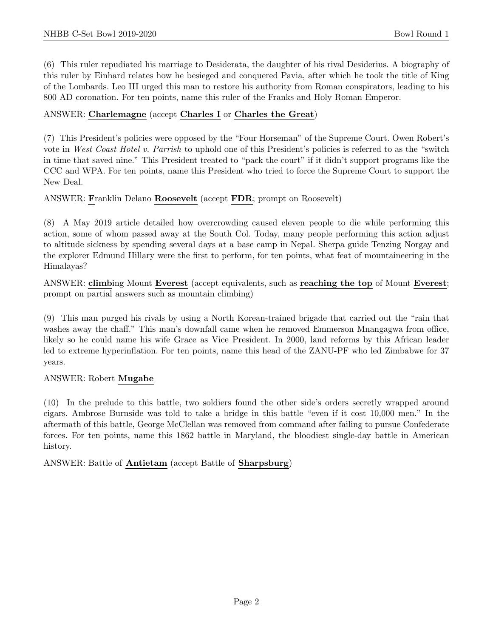(6) This ruler repudiated his marriage to Desiderata, the daughter of his rival Desiderius. A biography of this ruler by Einhard relates how he besieged and conquered Pavia, after which he took the title of King of the Lombards. Leo III urged this man to restore his authority from Roman conspirators, leading to his 800 AD coronation. For ten points, name this ruler of the Franks and Holy Roman Emperor.

# ANSWER: Charlemagne (accept Charles I or Charles the Great)

(7) This President's policies were opposed by the "Four Horseman" of the Supreme Court. Owen Robert's vote in West Coast Hotel v. Parrish to uphold one of this President's policies is referred to as the "switch" in time that saved nine." This President treated to "pack the court" if it didn't support programs like the CCC and WPA. For ten points, name this President who tried to force the Supreme Court to support the New Deal.

# ANSWER: Franklin Delano Roosevelt (accept FDR; prompt on Roosevelt)

(8) A May 2019 article detailed how overcrowding caused eleven people to die while performing this action, some of whom passed away at the South Col. Today, many people performing this action adjust to altitude sickness by spending several days at a base camp in Nepal. Sherpa guide Tenzing Norgay and the explorer Edmund Hillary were the first to perform, for ten points, what feat of mountaineering in the Himalayas?

ANSWER: climbing Mount Everest (accept equivalents, such as reaching the top of Mount Everest; prompt on partial answers such as mountain climbing)

(9) This man purged his rivals by using a North Korean-trained brigade that carried out the "rain that washes away the chaff." This man's downfall came when he removed Emmerson Mnangagwa from office, likely so he could name his wife Grace as Vice President. In 2000, land reforms by this African leader led to extreme hyperinflation. For ten points, name this head of the ZANU-PF who led Zimbabwe for 37 years.

# ANSWER: Robert Mugabe

(10) In the prelude to this battle, two soldiers found the other side's orders secretly wrapped around cigars. Ambrose Burnside was told to take a bridge in this battle "even if it cost 10,000 men." In the aftermath of this battle, George McClellan was removed from command after failing to pursue Confederate forces. For ten points, name this 1862 battle in Maryland, the bloodiest single-day battle in American history.

ANSWER: Battle of Antietam (accept Battle of Sharpsburg)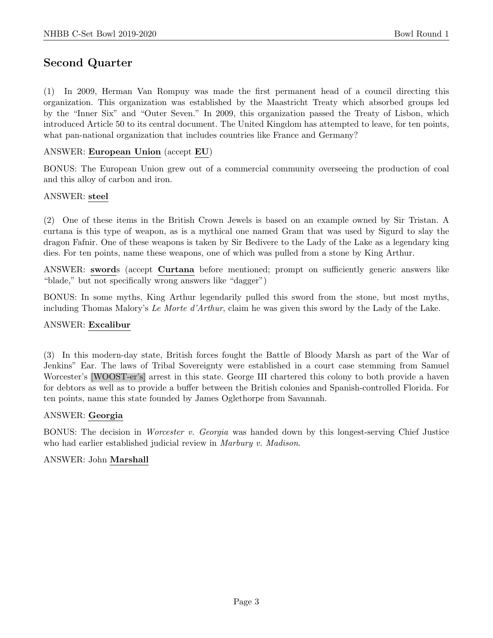# Second Quarter

(1) In 2009, Herman Van Rompuy was made the first permanent head of a council directing this organization. This organization was established by the Maastricht Treaty which absorbed groups led by the "Inner Six" and "Outer Seven." In 2009, this organization passed the Treaty of Lisbon, which introduced Article 50 to its central document. The United Kingdom has attempted to leave, for ten points, what pan-national organization that includes countries like France and Germany?

#### ANSWER: European Union (accept EU)

BONUS: The European Union grew out of a commercial community overseeing the production of coal and this alloy of carbon and iron.

#### ANSWER: steel

(2) One of these items in the British Crown Jewels is based on an example owned by Sir Tristan. A curtana is this type of weapon, as is a mythical one named Gram that was used by Sigurd to slay the dragon Fafnir. One of these weapons is taken by Sir Bedivere to the Lady of the Lake as a legendary king dies. For ten points, name these weapons, one of which was pulled from a stone by King Arthur.

ANSWER: swords (accept Curtana before mentioned; prompt on sufficiently generic answers like "blade," but not specifically wrong answers like "dagger")

BONUS: In some myths, King Arthur legendarily pulled this sword from the stone, but most myths, including Thomas Malory's Le Morte d'Arthur, claim he was given this sword by the Lady of the Lake.

#### ANSWER: Excalibur

(3) In this modern-day state, British forces fought the Battle of Bloody Marsh as part of the War of Jenkins" Ear. The laws of Tribal Sovereignty were established in a court case stemming from Samuel Worcester's [WOOST-er's] arrest in this state. George III chartered this colony to both provide a haven for debtors as well as to provide a buffer between the British colonies and Spanish-controlled Florida. For ten points, name this state founded by James Oglethorpe from Savannah.

#### ANSWER: Georgia

BONUS: The decision in *Worcester v. Georgia* was handed down by this longest-serving Chief Justice who had earlier established judicial review in *Marbury v. Madison*.

#### ANSWER: John Marshall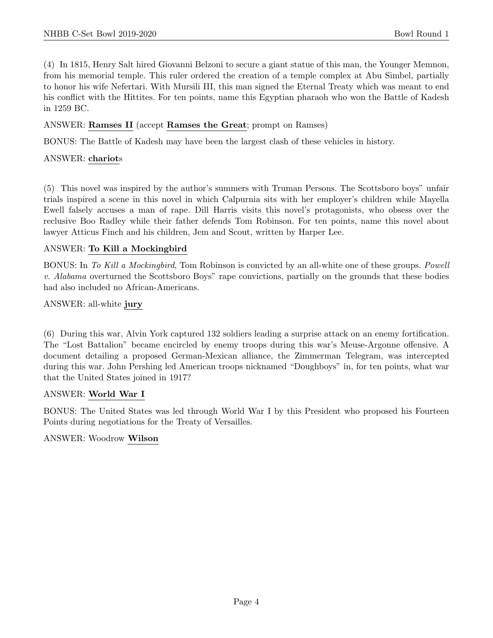(4) In 1815, Henry Salt hired Giovanni Belzoni to secure a giant statue of this man, the Younger Memnon, from his memorial temple. This ruler ordered the creation of a temple complex at Abu Simbel, partially to honor his wife Nefertari. With Mursili III, this man signed the Eternal Treaty which was meant to end his conflict with the Hittites. For ten points, name this Egyptian pharaoh who won the Battle of Kadesh in 1259 BC.

#### ANSWER: Ramses II (accept Ramses the Great; prompt on Ramses)

BONUS: The Battle of Kadesh may have been the largest clash of these vehicles in history.

#### ANSWER: chariots

(5) This novel was inspired by the author's summers with Truman Persons. The Scottsboro boys" unfair trials inspired a scene in this novel in which Calpurnia sits with her employer's children while Mayella Ewell falsely accuses a man of rape. Dill Harris visits this novel's protagonists, who obsess over the reclusive Boo Radley while their father defends Tom Robinson. For ten points, name this novel about lawyer Atticus Finch and his children, Jem and Scout, written by Harper Lee.

#### ANSWER: To Kill a Mockingbird

BONUS: In To Kill a Mockingbird, Tom Robinson is convicted by an all-white one of these groups. Powell v. Alabama overturned the Scottsboro Boys" rape convictions, partially on the grounds that these bodies had also included no African-Americans.

#### ANSWER: all-white jury

(6) During this war, Alvin York captured 132 soldiers leading a surprise attack on an enemy fortification. The "Lost Battalion" became encircled by enemy troops during this war's Meuse-Argonne offensive. A document detailing a proposed German-Mexican alliance, the Zimmerman Telegram, was intercepted during this war. John Pershing led American troops nicknamed "Doughboys" in, for ten points, what war that the United States joined in 1917?

#### ANSWER: World War I

BONUS: The United States was led through World War I by this President who proposed his Fourteen Points during negotiations for the Treaty of Versailles.

ANSWER: Woodrow Wilson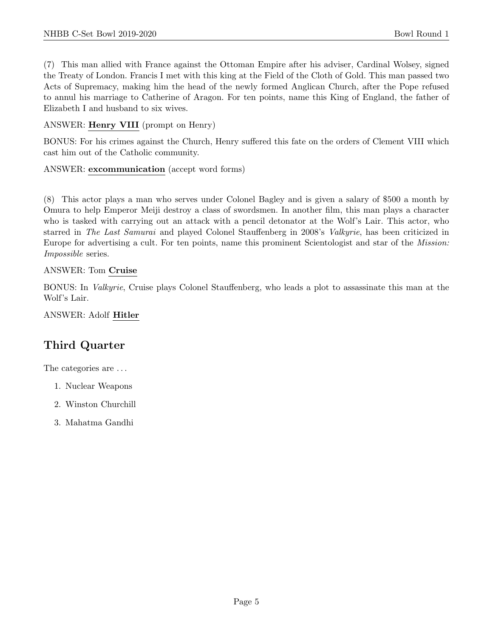(7) This man allied with France against the Ottoman Empire after his adviser, Cardinal Wolsey, signed the Treaty of London. Francis I met with this king at the Field of the Cloth of Gold. This man passed two Acts of Supremacy, making him the head of the newly formed Anglican Church, after the Pope refused to annul his marriage to Catherine of Aragon. For ten points, name this King of England, the father of Elizabeth I and husband to six wives.

ANSWER: Henry VIII (prompt on Henry)

BONUS: For his crimes against the Church, Henry suffered this fate on the orders of Clement VIII which cast him out of the Catholic community.

ANSWER: excommunication (accept word forms)

(8) This actor plays a man who serves under Colonel Bagley and is given a salary of \$500 a month by Omura to help Emperor Meiji destroy a class of swordsmen. In another film, this man plays a character who is tasked with carrying out an attack with a pencil detonator at the Wolf's Lair. This actor, who starred in The Last Samurai and played Colonel Stauffenberg in 2008's Valkyrie, has been criticized in Europe for advertising a cult. For ten points, name this prominent Scientologist and star of the Mission: Impossible series.

#### ANSWER: Tom Cruise

BONUS: In Valkyrie, Cruise plays Colonel Stauffenberg, who leads a plot to assassinate this man at the Wolf's Lair.

ANSWER: Adolf Hitler

# Third Quarter

The categories are . . .

- 1. Nuclear Weapons
- 2. Winston Churchill
- 3. Mahatma Gandhi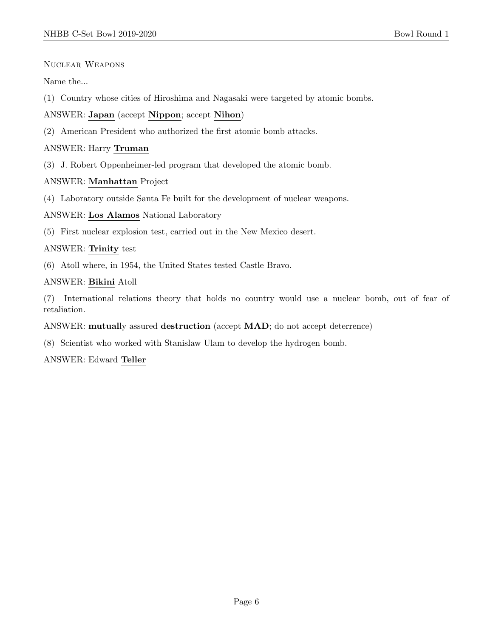Nuclear Weapons

Name the...

(1) Country whose cities of Hiroshima and Nagasaki were targeted by atomic bombs.

ANSWER: Japan (accept Nippon; accept Nihon)

(2) American President who authorized the first atomic bomb attacks.

# ANSWER: Harry Truman

(3) J. Robert Oppenheimer-led program that developed the atomic bomb.

# ANSWER: Manhattan Project

(4) Laboratory outside Santa Fe built for the development of nuclear weapons.

#### ANSWER: Los Alamos National Laboratory

(5) First nuclear explosion test, carried out in the New Mexico desert.

#### ANSWER: Trinity test

(6) Atoll where, in 1954, the United States tested Castle Bravo.

#### ANSWER: Bikini Atoll

(7) International relations theory that holds no country would use a nuclear bomb, out of fear of retaliation.

ANSWER: mutually assured destruction (accept MAD; do not accept deterrence)

(8) Scientist who worked with Stanislaw Ulam to develop the hydrogen bomb.

ANSWER: Edward Teller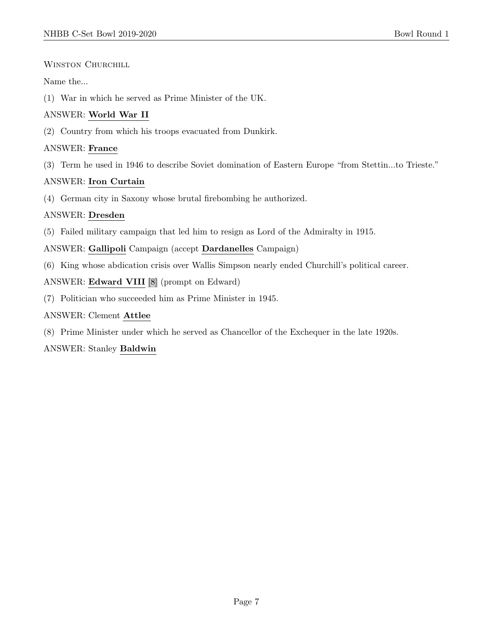# WINSTON CHURCHILL

# Name the...

(1) War in which he served as Prime Minister of the UK.

# ANSWER: World War II

(2) Country from which his troops evacuated from Dunkirk.

# ANSWER: France

(3) Term he used in 1946 to describe Soviet domination of Eastern Europe "from Stettin...to Trieste."

# ANSWER: Iron Curtain

(4) German city in Saxony whose brutal firebombing he authorized.

# ANSWER: Dresden

(5) Failed military campaign that led him to resign as Lord of the Admiralty in 1915.

ANSWER: Gallipoli Campaign (accept Dardanelles Campaign)

(6) King whose abdication crisis over Wallis Simpson nearly ended Churchill's political career.

# ANSWER: Edward VIII [8] (prompt on Edward)

(7) Politician who succeeded him as Prime Minister in 1945.

# ANSWER: Clement Attlee

(8) Prime Minister under which he served as Chancellor of the Exchequer in the late 1920s.

# ANSWER: Stanley Baldwin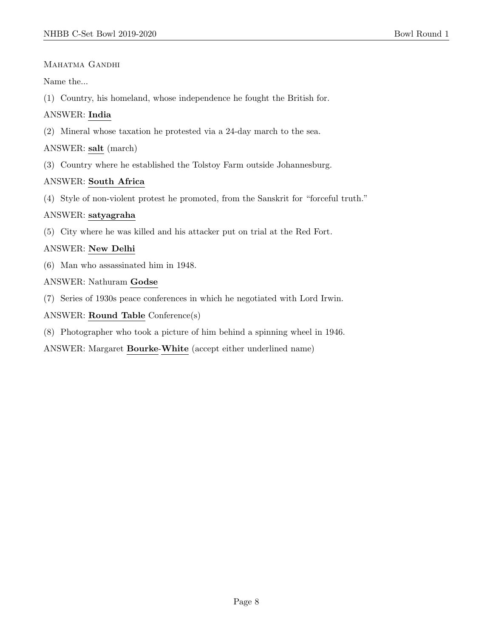# MAHATMA GANDHI

Name the...

(1) Country, his homeland, whose independence he fought the British for.

# ANSWER: India

(2) Mineral whose taxation he protested via a 24-day march to the sea.

# ANSWER: salt (march)

(3) Country where he established the Tolstoy Farm outside Johannesburg.

# ANSWER: South Africa

(4) Style of non-violent protest he promoted, from the Sanskrit for "forceful truth."

# ANSWER: satyagraha

(5) City where he was killed and his attacker put on trial at the Red Fort.

# ANSWER: New Delhi

(6) Man who assassinated him in 1948.

# ANSWER: Nathuram Godse

(7) Series of 1930s peace conferences in which he negotiated with Lord Irwin.

# ANSWER: Round Table Conference(s)

(8) Photographer who took a picture of him behind a spinning wheel in 1946.

ANSWER: Margaret Bourke-White (accept either underlined name)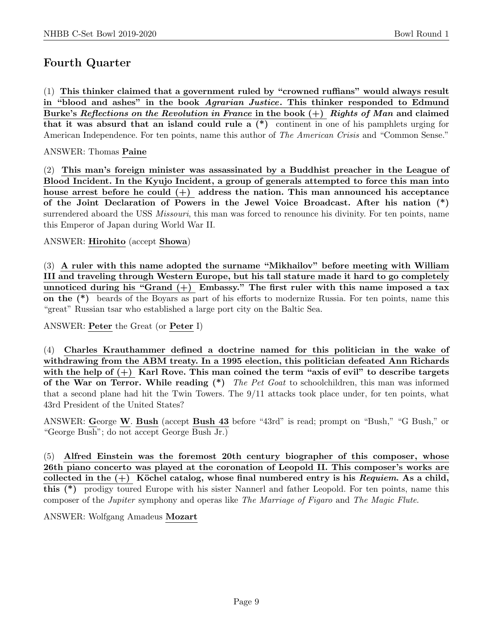# Fourth Quarter

(1) This thinker claimed that a government ruled by "crowned ruffians" would always result in "blood and ashes" in the book Agrarian Justice. This thinker responded to Edmund Burke's Reflections on the Revolution in France in the book  $(+)$  Rights of Man and claimed that it was absurd that an island could rule a (\*) continent in one of his pamphlets urging for American Independence. For ten points, name this author of The American Crisis and "Common Sense."

#### ANSWER: Thomas Paine

(2) This man's foreign minister was assassinated by a Buddhist preacher in the League of Blood Incident. In the Kyujo Incident, a group of generals attempted to force this man into house arrest before he could  $(+)$  address the nation. This man announced his acceptance of the Joint Declaration of Powers in the Jewel Voice Broadcast. After his nation (\*) surrendered aboard the USS *Missouri*, this man was forced to renounce his divinity. For ten points, name this Emperor of Japan during World War II.

#### ANSWER: Hirohito (accept Showa)

(3) A ruler with this name adopted the surname "Mikhailov" before meeting with William III and traveling through Western Europe, but his tall stature made it hard to go completely unnoticed during his "Grand  $(+)$  Embassy." The first ruler with this name imposed a tax on the (\*) beards of the Boyars as part of his efforts to modernize Russia. For ten points, name this "great" Russian tsar who established a large port city on the Baltic Sea.

ANSWER: Peter the Great (or Peter I)

(4) Charles Krauthammer defined a doctrine named for this politician in the wake of withdrawing from the ABM treaty. In a 1995 election, this politician defeated Ann Richards with the help of  $(+)$  Karl Rove. This man coined the term "axis of evil" to describe targets of the War on Terror. While reading  $(*)$  The Pet Goat to schoolchildren, this man was informed that a second plane had hit the Twin Towers. The 9/11 attacks took place under, for ten points, what 43rd President of the United States?

ANSWER: George W. Bush (accept Bush 43 before "43rd" is read; prompt on "Bush," "G Bush," or "George Bush"; do not accept George Bush Jr.)

(5) Alfred Einstein was the foremost 20th century biographer of this composer, whose 26th piano concerto was played at the coronation of Leopold II. This composer's works are collected in the  $(+)$  Köchel catalog, whose final numbered entry is his Requiem. As a child, this (\*) prodigy toured Europe with his sister Nannerl and father Leopold. For ten points, name this composer of the Jupiter symphony and operas like The Marriage of Figaro and The Magic Flute.

ANSWER: Wolfgang Amadeus Mozart